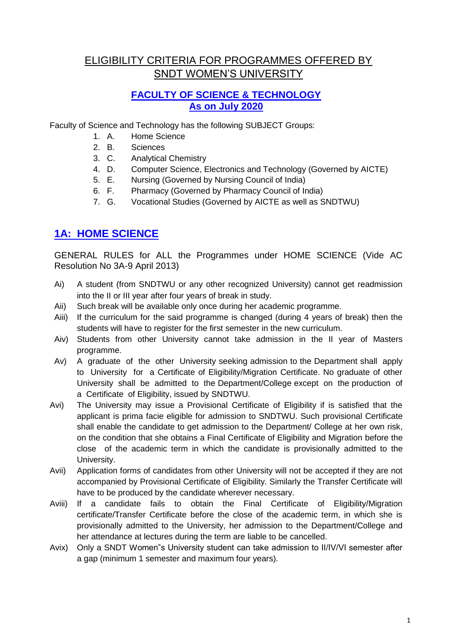# ELIGIBILITY CRITERIA FOR PROGRAMMES OFFERED BY SNDT WOMEN"S UNIVERSITY

## **FACULTY OF SCIENCE & TECHNOLOGY As on July 2020**

Faculty of Science and Technology has the following SUBJECT Groups:

- 1. A. Home Science
- 2. B. Sciences
- 3. C. Analytical Chemistry
- 4. D. Computer Science, Electronics and Technology (Governed by AICTE)
- 5. E. Nursing (Governed by Nursing Council of India)
- 6. F. Pharmacy (Governed by Pharmacy Council of India)
- 7. G. Vocational Studies (Governed by AICTE as well as SNDTWU)

## **1A: HOME SCIENCE**

GENERAL RULES for ALL the Programmes under HOME SCIENCE (Vide AC Resolution No 3A-9 April 2013)

- Ai) A student (from SNDTWU or any other recognized University) cannot get readmission into the II or III year after four years of break in study.
- Aii) Such break will be available only once during her academic programme.
- Aiii) If the curriculum for the said programme is changed (during 4 years of break) then the students will have to register for the first semester in the new curriculum.
- Aiv) Students from other University cannot take admission in the II year of Masters programme.
- Av) A graduate of the other University seeking admission to the Department shall apply to University for a Certificate of Eligibility/Migration Certificate. No graduate of other University shall be admitted to the Department/College except on the production of a Certificate of Eligibility, issued by SNDTWU.
- Avi) The University may issue a Provisional Certificate of Eligibility if is satisfied that the applicant is prima facie eligible for admission to SNDTWU. Such provisional Certificate shall enable the candidate to get admission to the Department/ College at her own risk, on the condition that she obtains a Final Certificate of Eligibility and Migration before the close of the academic term in which the candidate is provisionally admitted to the University.
- Avii) Application forms of candidates from other University will not be accepted if they are not accompanied by Provisional Certificate of Eligibility. Similarly the Transfer Certificate will have to be produced by the candidate wherever necessary.
- Aviii) If a candidate fails to obtain the Final Certificate of Eligibility/Migration certificate/Transfer Certificate before the close of the academic term, in which she is provisionally admitted to the University, her admission to the Department/College and her attendance at lectures during the term are liable to be cancelled.
- Avix) Only a SNDT Women"s University student can take admission to II/IV/VI semester after a gap (minimum 1 semester and maximum four years).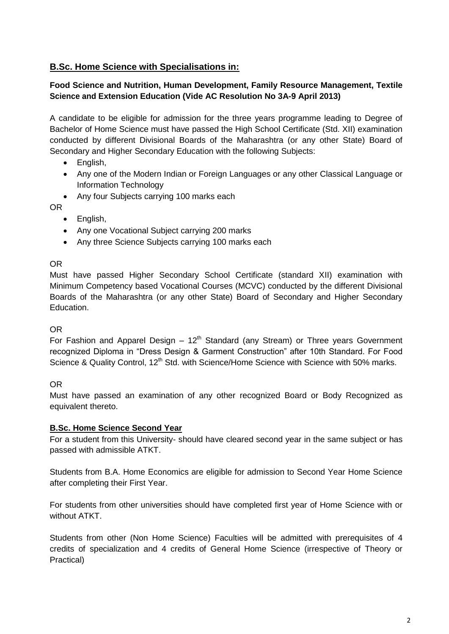## **B.Sc. Home Science with Specialisations in:**

#### **Food Science and Nutrition, Human Development, Family Resource Management, Textile Science and Extension Education (Vide AC Resolution No 3A-9 April 2013)**

A candidate to be eligible for admission for the three years programme leading to Degree of Bachelor of Home Science must have passed the High School Certificate (Std. XII) examination conducted by different Divisional Boards of the Maharashtra (or any other State) Board of Secondary and Higher Secondary Education with the following Subjects:

- English,
- Any one of the Modern Indian or Foreign Languages or any other Classical Language or Information Technology
- Any four Subjects carrying 100 marks each

OR

- English,
- Any one Vocational Subiect carrying 200 marks
- Any three Science Subjects carrying 100 marks each

#### OR

Must have passed Higher Secondary School Certificate (standard XII) examination with Minimum Competency based Vocational Courses (MCVC) conducted by the different Divisional Boards of the Maharashtra (or any other State) Board of Secondary and Higher Secondary Education.

#### OR

For Fashion and Apparel Design –  $12<sup>th</sup>$  Standard (any Stream) or Three years Government recognized Diploma in "Dress Design & Garment Construction" after 10th Standard. For Food Science & Quality Control, 12<sup>th</sup> Std. with Science/Home Science with Science with 50% marks.

#### OR

Must have passed an examination of any other recognized Board or Body Recognized as equivalent thereto.

#### **B.Sc. Home Science Second Year**

For a student from this University- should have cleared second year in the same subject or has passed with admissible ATKT.

Students from B.A. Home Economics are eligible for admission to Second Year Home Science after completing their First Year.

For students from other universities should have completed first year of Home Science with or without ATKT.

Students from other (Non Home Science) Faculties will be admitted with prerequisites of 4 credits of specialization and 4 credits of General Home Science (irrespective of Theory or Practical)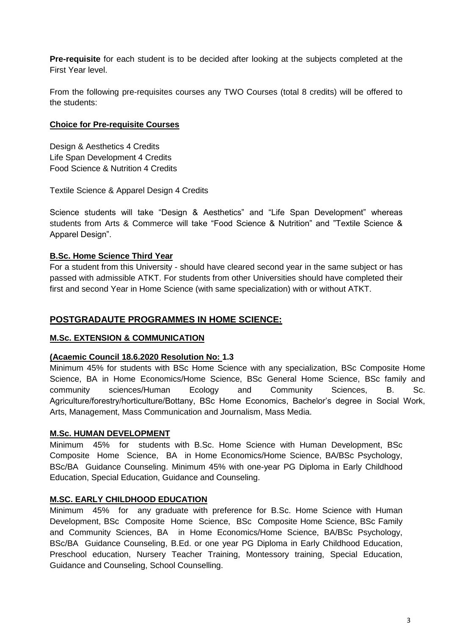**Pre-requisite** for each student is to be decided after looking at the subjects completed at the First Year level.

From the following pre-requisites courses any TWO Courses (total 8 credits) will be offered to the students:

#### **Choice for Pre-requisite Courses**

Design & Aesthetics 4 Credits Life Span Development 4 Credits Food Science & Nutrition 4 Credits

Textile Science & Apparel Design 4 Credits

Science students will take "Design & Aesthetics" and "Life Span Development" whereas students from Arts & Commerce will take "Food Science & Nutrition" and "Textile Science & Apparel Design".

#### **B.Sc. Home Science Third Year**

For a student from this University - should have cleared second year in the same subject or has passed with admissible ATKT. For students from other Universities should have completed their first and second Year in Home Science (with same specialization) with or without ATKT.

### **POSTGRADAUTE PROGRAMMES IN HOME SCIENCE:**

#### **M.Sc. EXTENSION & COMMUNICATION**

#### **(Acaemic Council 18.6.2020 Resolution No: 1.3**

Minimum 45% for students with BSc Home Science with any specialization, BSc Composite Home Science, BA in Home Economics/Home Science, BSc General Home Science, BSc family and community sciences/Human Ecology and Community Sciences, B. Sc. Agriculture/forestry/horticulture/Bottany, BSc Home Economics, Bachelor"s degree in Social Work, Arts, Management, Mass Communication and Journalism, Mass Media.

#### **M.Sc. HUMAN DEVELOPMENT**

Minimum 45% for students with B.Sc. Home Science with Human Development, BSc Composite Home Science, BA in Home Economics/Home Science, BA/BSc Psychology, BSc/BA Guidance Counseling. Minimum 45% with one-year PG Diploma in Early Childhood Education, Special Education, Guidance and Counseling.

#### **M.SC. EARLY CHILDHOOD EDUCATION**

Minimum 45% for any graduate with preference for B.Sc. Home Science with Human Development, BSc Composite Home Science, BSc Composite Home Science, BSc Family and Community Sciences, BA in Home Economics/Home Science, BA/BSc Psychology, BSc/BA Guidance Counseling, B.Ed. or one year PG Diploma in Early Childhood Education, Preschool education, Nursery Teacher Training, Montessory training, Special Education, Guidance and Counseling, School Counselling.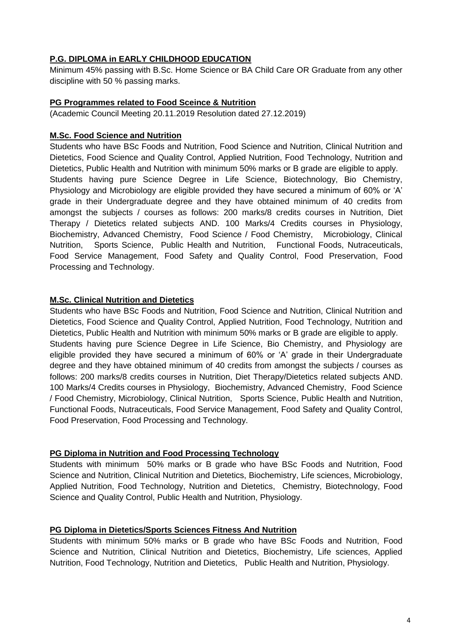#### **P.G. DIPLOMA in EARLY CHILDHOOD EDUCATION**

Minimum 45% passing with B.Sc. Home Science or BA Child Care OR Graduate from any other discipline with 50 % passing marks.

#### **PG Programmes related to Food Sceince & Nutrition**

(Academic Council Meeting 20.11.2019 Resolution dated 27.12.2019)

#### **M.Sc. Food Science and Nutrition**

Students who have BSc Foods and Nutrition, Food Science and Nutrition, Clinical Nutrition and Dietetics, Food Science and Quality Control, Applied Nutrition, Food Technology, Nutrition and Dietetics, Public Health and Nutrition with minimum 50% marks or B grade are eligible to apply. Students having pure Science Degree in Life Science, Biotechnology, Bio Chemistry, Physiology and Microbiology are eligible provided they have secured a minimum of 60% or 'A' grade in their Undergraduate degree and they have obtained minimum of 40 credits from amongst the subjects / courses as follows: 200 marks/8 credits courses in Nutrition, Diet Therapy / Dietetics related subjects AND. 100 Marks/4 Credits courses in Physiology, Biochemistry, Advanced Chemistry, Food Science / Food Chemistry, Microbiology, Clinical Nutrition, Sports Science, Public Health and Nutrition, Functional Foods, Nutraceuticals, Food Service Management, Food Safety and Quality Control, Food Preservation, Food Processing and Technology.

#### **M.Sc. Clinical Nutrition and Dietetics**

Students who have BSc Foods and Nutrition, Food Science and Nutrition, Clinical Nutrition and Dietetics, Food Science and Quality Control, Applied Nutrition, Food Technology, Nutrition and Dietetics, Public Health and Nutrition with minimum 50% marks or B grade are eligible to apply. Students having pure Science Degree in Life Science, Bio Chemistry, and Physiology are eligible provided they have secured a minimum of 60% or "A" grade in their Undergraduate degree and they have obtained minimum of 40 credits from amongst the subjects / courses as follows: 200 marks/8 credits courses in Nutrition, Diet Therapy/Dietetics related subjects AND. 100 Marks/4 Credits courses in Physiology, Biochemistry, Advanced Chemistry, Food Science / Food Chemistry, Microbiology, Clinical Nutrition, Sports Science, Public Health and Nutrition, Functional Foods, Nutraceuticals, Food Service Management, Food Safety and Quality Control, Food Preservation, Food Processing and Technology.

#### **PG Diploma in Nutrition and Food Processing Technology**

Students with minimum 50% marks or B grade who have BSc Foods and Nutrition, Food Science and Nutrition, Clinical Nutrition and Dietetics, Biochemistry, Life sciences, Microbiology, Applied Nutrition, Food Technology, Nutrition and Dietetics, Chemistry, Biotechnology, Food Science and Quality Control, Public Health and Nutrition, Physiology.

#### **PG Diploma in Dietetics/Sports Sciences Fitness And Nutrition**

Students with minimum 50% marks or B grade who have BSc Foods and Nutrition, Food Science and Nutrition, Clinical Nutrition and Dietetics, Biochemistry, Life sciences, Applied Nutrition, Food Technology, Nutrition and Dietetics, Public Health and Nutrition, Physiology.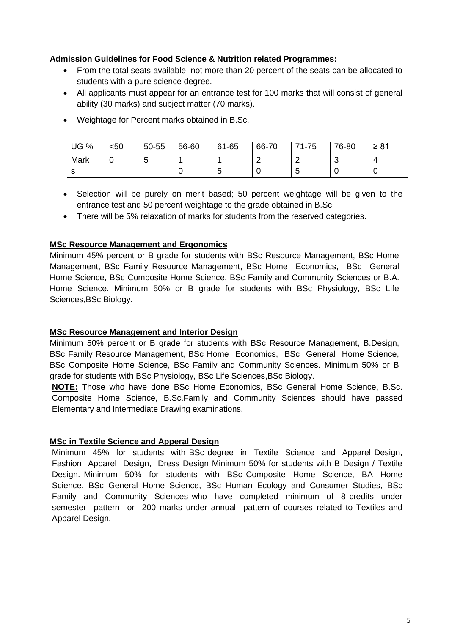#### **Admission Guidelines for Food Science & Nutrition related Programmes:**

- From the total seats available, not more than 20 percent of the seats can be allocated to students with a pure science degree.
- All applicants must appear for an entrance test for 100 marks that will consist of general ability (30 marks) and subject matter (70 marks).
- Weightage for Percent marks obtained in B.Sc.

| UG %         | $50$ | 50-55  | 56-60 | 61-65    | 66-70 | 71-75  | 76-80 | $\geq 81$ |
|--------------|------|--------|-------|----------|-------|--------|-------|-----------|
| Mark         |      | ∽<br>ັ |       |          |       | r      | ີ     | ▵         |
| ົ<br>$\cdot$ |      |        |       | . .<br>u | ບ     | ∽<br>N |       |           |

- Selection will be purely on merit based; 50 percent weightage will be given to the entrance test and 50 percent weightage to the grade obtained in B.Sc.
- There will be 5% relaxation of marks for students from the reserved categories.

#### **MSc Resource Management and Ergonomics**

Minimum 45% percent or B grade for students with BSc Resource Management, BSc Home Management, BSc Family Resource Management, BSc Home Economics, BSc General Home Science, BSc Composite Home Science, BSc Family and Community Sciences or B.A. Home Science. Minimum 50% or B grade for students with BSc Physiology, BSc Life Sciences,BSc Biology.

#### **MSc Resource Management and Interior Design**

Minimum 50% percent or B grade for students with BSc Resource Management, B.Design, BSc Family Resource Management, BSc Home Economics, BSc General Home Science, BSc Composite Home Science, BSc Family and Community Sciences. Minimum 50% or B grade for students with BSc Physiology, BSc Life Sciences,BSc Biology.

**NOTE:** Those who have done BSc Home Economics, BSc General Home Science, B.Sc. Composite Home Science, B.Sc.Family and Community Sciences should have passed Elementary and Intermediate Drawing examinations.

#### **MSc in Textile Science and Apperal Design**

Minimum 45% for students with BSc degree in Textile Science and Apparel Design, Fashion Apparel Design, Dress Design Minimum 50% for students with B Design / Textile Design. Minimum 50% for students with BSc Composite Home Science, BA Home Science, BSc General Home Science, BSc Human Ecology and Consumer Studies, BSc Family and Community Sciences who have completed minimum of 8 credits under semester pattern or 200 marks under annual pattern of courses related to Textiles and Apparel Design.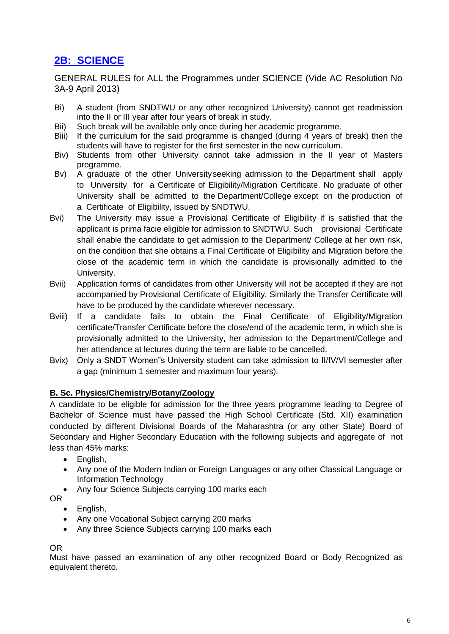# **2B: SCIENCE**

GENERAL RULES for ALL the Programmes under SCIENCE (Vide AC Resolution No 3A-9 April 2013)

- Bi) A student (from SNDTWU or any other recognized University) cannot get readmission into the II or III year after four years of break in study.
- Bii) Such break will be available only once during her academic programme.
- Biii) If the curriculum for the said programme is changed (during 4 years of break) then the students will have to register for the first semester in the new curriculum.
- Biv) Students from other University cannot take admission in the II year of Masters programme.
- Bv) A graduate of the other Universityseeking admission to the Department shall apply to University for a Certificate of Eligibility/Migration Certificate. No graduate of other University shall be admitted to the Department/College except on the production of a Certificate of Eligibility, issued by SNDTWU.
- Bvi) The University may issue a Provisional Certificate of Eligibility if is satisfied that the applicant is prima facie eligible for admission to SNDTWU. Such provisional Certificate shall enable the candidate to get admission to the Department/ College at her own risk, on the condition that she obtains a Final Certificate of Eligibility and Migration before the close of the academic term in which the candidate is provisionally admitted to the University.
- Bvii) Application forms of candidates from other University will not be accepted if they are not accompanied by Provisional Certificate of Eligibility. Similarly the Transfer Certificate will have to be produced by the candidate wherever necessary.
- Bviii) If a candidate fails to obtain the Final Certificate of Eligibility/Migration certificate/Transfer Certificate before the close/end of the academic term, in which she is provisionally admitted to the University, her admission to the Department/College and her attendance at lectures during the term are liable to be cancelled.
- Bvix) Only a SNDT Women"s University student can take admission to II/IV/VI semester after a gap (minimum 1 semester and maximum four years).

#### **B. Sc. Physics/Chemistry/Botany/Zoology**

A candidate to be eligible for admission for the three years programme leading to Degree of Bachelor of Science must have passed the High School Certificate (Std. XII) examination conducted by different Divisional Boards of the Maharashtra (or any other State) Board of Secondary and Higher Secondary Education with the following subjects and aggregate of not less than 45% marks:

- English,
- Any one of the Modern Indian or Foreign Languages or any other Classical Language or Information Technology
- Any four Science Subjects carrying 100 marks each

OR

- English,
- Any one Vocational Subiect carrying 200 marks
- Any three Science Subjects carrying 100 marks each

## OR

Must have passed an examination of any other recognized Board or Body Recognized as equivalent thereto.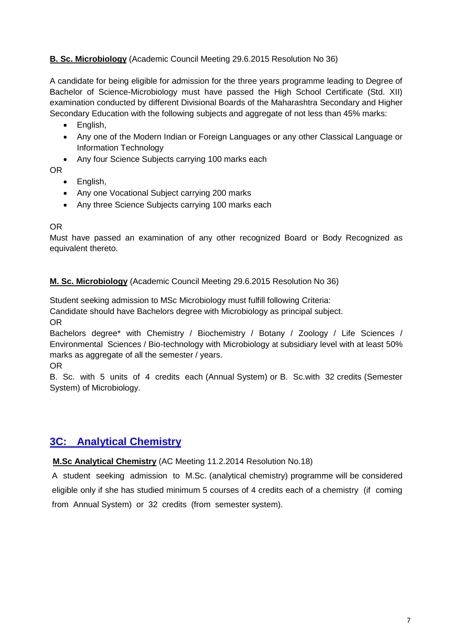## **B. Sc. Microbiology** (Academic Council Meeting 29.6.2015 Resolution No 36)

A candidate for being eligible for admission for the three years programme leading to Degree of Bachelor of Science-Microbiology must have passed the High School Certificate (Std. XII) examination conducted by different Divisional Boards of the Maharashtra Secondary and Higher Secondary Education with the following subjects and aggregate of not less than 45% marks:

- English,
- Any one of the Modern Indian or Foreign Languages or any other Classical Language or Information Technology
- Any four Science Subjects carrying 100 marks each

OR

- English,
- Any one Vocational Subject carrying 200 marks
- Any three Science Subjects carrying 100 marks each

#### OR

Must have passed an examination of any other recognized Board or Body Recognized as equivalent thereto.

#### **M. Sc. Microbiology** (Academic Council Meeting 29.6.2015 Resolution No 36)

Student seeking admission to MSc Microbiology must fulfill following Criteria:

Candidate should have Bachelors degree with Microbiology as principal subject.

OR

Bachelors degree\* with Chemistry / Biochemistry / Botany / Zoology / Life Sciences / Environmental Sciences / Bio-technology with Microbiology at subsidiary level with at least 50% marks as aggregate of all the semester / years.

OR

B. Sc. with 5 units of 4 credits each (Annual System) or B. Sc.with 32 credits (Semester System) of Microbiology.

## **3C: Analytical Chemistry**

**M.Sc Analytical Chemistry** (AC Meeting 11.2.2014 Resolution No.18)

A student seeking admission to M.Sc. (analytical chemistry) programme will be considered eligible only if she has studied minimum 5 courses of 4 credits each of a chemistry (if coming from Annual System) or 32 credits (from semester system).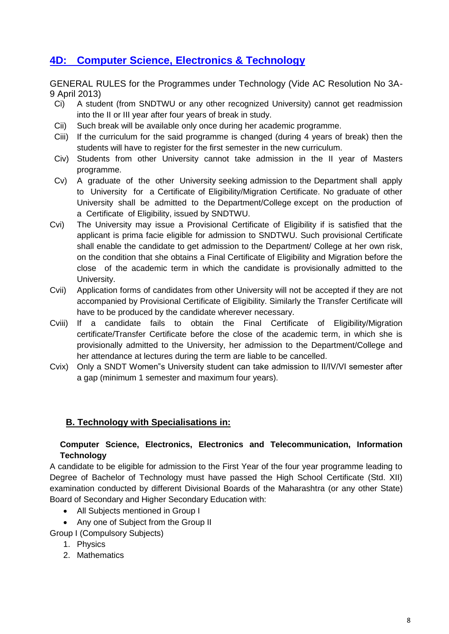## **4D: Computer Science, Electronics & Technology**

GENERAL RULES for the Programmes under Technology (Vide AC Resolution No 3A-9 April 2013)

- Ci) A student (from SNDTWU or any other recognized University) cannot get readmission into the II or III year after four years of break in study.
- Cii) Such break will be available only once during her academic programme.
- Ciii) If the curriculum for the said programme is changed (during 4 years of break) then the students will have to register for the first semester in the new curriculum.
- Civ) Students from other University cannot take admission in the II year of Masters programme.
- Cv) A graduate of the other University seeking admission to the Department shall apply to University for a Certificate of Eligibility/Migration Certificate. No graduate of other University shall be admitted to the Department/College except on the production of a Certificate of Eligibility, issued by SNDTWU.
- Cvi) The University may issue a Provisional Certificate of Eligibility if is satisfied that the applicant is prima facie eligible for admission to SNDTWU. Such provisional Certificate shall enable the candidate to get admission to the Department/ College at her own risk, on the condition that she obtains a Final Certificate of Eligibility and Migration before the close of the academic term in which the candidate is provisionally admitted to the University.
- Cvii) Application forms of candidates from other University will not be accepted if they are not accompanied by Provisional Certificate of Eligibility. Similarly the Transfer Certificate will have to be produced by the candidate wherever necessary.
- Cviii) If a candidate fails to obtain the Final Certificate of Eligibility/Migration certificate/Transfer Certificate before the close of the academic term, in which she is provisionally admitted to the University, her admission to the Department/College and her attendance at lectures during the term are liable to be cancelled.
- Cvix) Only a SNDT Women"s University student can take admission to II/IV/VI semester after a gap (minimum 1 semester and maximum four years).

## **B. Technology with Specialisations in:**

#### **Computer Science, Electronics, Electronics and Telecommunication, Information Technology**

A candidate to be eligible for admission to the First Year of the four year programme leading to Degree of Bachelor of Technology must have passed the High School Certificate (Std. XII) examination conducted by different Divisional Boards of the Maharashtra (or any other State) Board of Secondary and Higher Secondary Education with:

- All Subjects mentioned in Group I
- Any one of Subject from the Group II

Group I (Compulsory Subjects)

- 1. Physics
- 2. Mathematics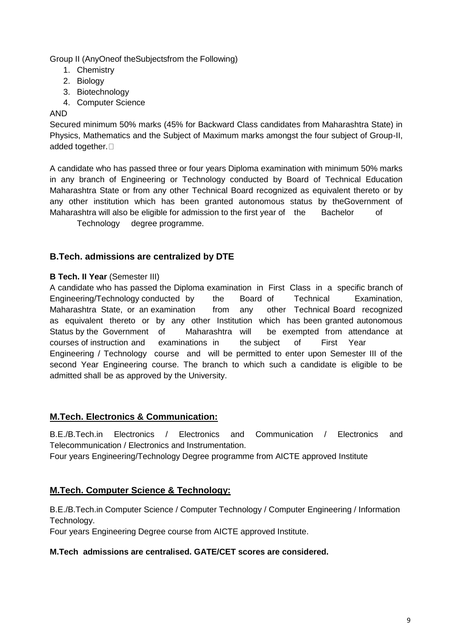Group II (AnyOneof theSubjectsfrom the Following)

- 1. Chemistry
- 2. Biology
- 3. Biotechnology
- 4. Computer Science

#### AND

Secured minimum 50% marks (45% for Backward Class candidates from Maharashtra State) in Physics, Mathematics and the Subject of Maximum marks amongst the four subject of Group-II, added together.<sup>[]</sup>

A candidate who has passed three or four years Diploma examination with minimum 50% marks in any branch of Engineering or Technology conducted by Board of Technical Education Maharashtra State or from any other Technical Board recognized as equivalent thereto or by any other institution which has been granted autonomous status by theGovernment of Maharashtra will also be eligible for admission to the first year of the Bachelor of

Technology degree programme.

#### **B.Tech. admissions are centralized by DTE**

#### **B Tech. II Year (Semester III)**

A candidate who has passed the Diploma examination in First Class in a specific branch of Engineering/Technology conducted by the Board of Technical Examination, Maharashtra State, or an examination from any other Technical Board recognized as equivalent thereto or by any other Institution which has been granted autonomous Status by the Government of Maharashtra will be exempted from attendance at courses of instruction and examinations in the subject of First Year Engineering / Technology course and will be permitted to enter upon Semester III of the second Year Engineering course. The branch to which such a candidate is eligible to be admitted shall be as approved by the University.

#### **M.Tech. Electronics & Communication:**

B.E./B.Tech.in Electronics / Electronics and Communication / Electronics and Telecommunication / Electronics and Instrumentation.

Four years Engineering/Technology Degree programme from AICTE approved Institute

#### **M.Tech. Computer Science & Technology:**

B.E./B.Tech.in Computer Science / Computer Technology / Computer Engineering / Information Technology.

Four years Engineering Degree course from AICTE approved Institute.

#### **M.Tech admissions are centralised. GATE/CET scores are considered.**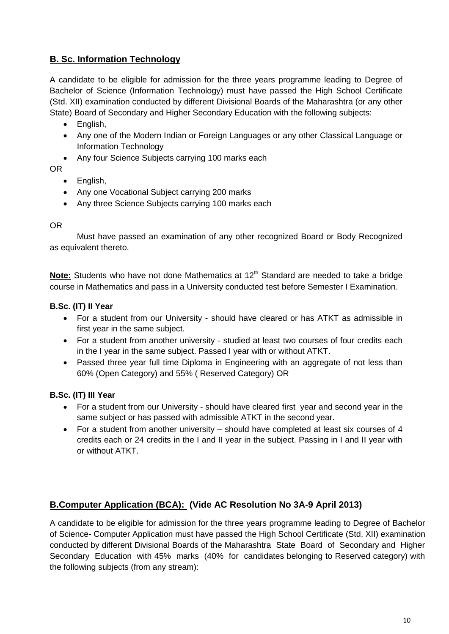## **B. Sc. Information Technology**

A candidate to be eligible for admission for the three years programme leading to Degree of Bachelor of Science (Information Technology) must have passed the High School Certificate (Std. XII) examination conducted by different Divisional Boards of the Maharashtra (or any other State) Board of Secondary and Higher Secondary Education with the following subjects:

- English,
- Any one of the Modern Indian or Foreign Languages or any other Classical Language or Information Technology
- Any four Science Subjects carrying 100 marks each

OR

- English,
- Any one Vocational Subject carrying 200 marks
- Any three Science Subjects carrying 100 marks each

#### OR

Must have passed an examination of any other recognized Board or Body Recognized as equivalent thereto.

**Note:** Students who have not done Mathematics at 12<sup>th</sup> Standard are needed to take a bridge course in Mathematics and pass in a University conducted test before Semester I Examination.

#### **B.Sc. (IT) II Year**

- For a student from our University should have cleared or has ATKT as admissible in first year in the same subject.
- For a student from another university studied at least two courses of four credits each in the I year in the same subject. Passed I year with or without ATKT.
- Passed three year full time Diploma in Engineering with an aggregate of not less than 60% (Open Category) and 55% ( Reserved Category) OR

#### **B.Sc. (IT) III Year**

- For a student from our University should have cleared first year and second year in the same subject or has passed with admissible ATKT in the second year.
- For a student from another university should have completed at least six courses of 4 credits each or 24 credits in the I and II year in the subject. Passing in I and II year with or without ATKT.

## **B.Computer Application (BCA): (Vide AC Resolution No 3A-9 April 2013)**

A candidate to be eligible for admission for the three years programme leading to Degree of Bachelor of Science- Computer Application must have passed the High School Certificate (Std. XII) examination conducted by different Divisional Boards of the Maharashtra State Board of Secondary and Higher Secondary Education with 45% marks (40% for candidates belonging to Reserved category) with the following subjects (from any stream):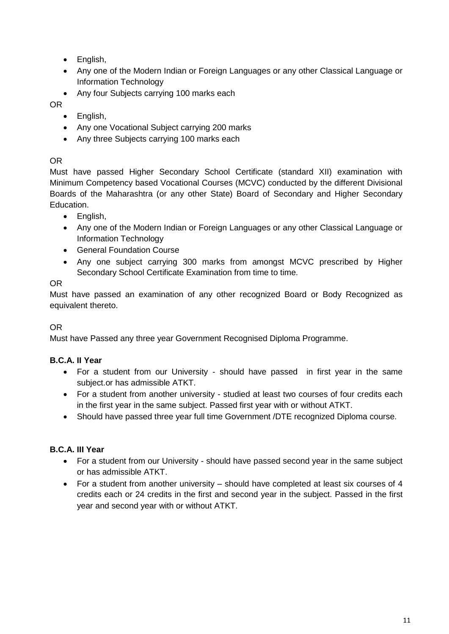- English,
- Any one of the Modern Indian or Foreign Languages or any other Classical Language or Information Technology
- Any four Subjects carrying 100 marks each

OR

- English,
- Any one Vocational Subject carrying 200 marks
- Any three Subiects carrying 100 marks each

## OR

Must have passed Higher Secondary School Certificate (standard XII) examination with Minimum Competency based Vocational Courses (MCVC) conducted by the different Divisional Boards of the Maharashtra (or any other State) Board of Secondary and Higher Secondary Education.

- English,
- Any one of the Modern Indian or Foreign Languages or any other Classical Language or Information Technology
- **•** General Foundation Course
- Any one subject carrying 300 marks from amongst MCVC prescribed by Higher Secondary School Certificate Examination from time to time.

## OR

Must have passed an examination of any other recognized Board or Body Recognized as equivalent thereto.

## OR

Must have Passed any three year Government Recognised Diploma Programme.

## **B.C.A. II Year**

- For a student from our University should have passed in first year in the same subject.or has admissible ATKT.
- For a student from another university studied at least two courses of four credits each in the first year in the same subject. Passed first year with or without ATKT.
- Should have passed three year full time Government /DTE recognized Diploma course.

## **B.C.A. III Year**

- For a student from our University should have passed second year in the same subject or has admissible ATKT.
- For a student from another university should have completed at least six courses of 4 credits each or 24 credits in the first and second year in the subject. Passed in the first year and second year with or without ATKT.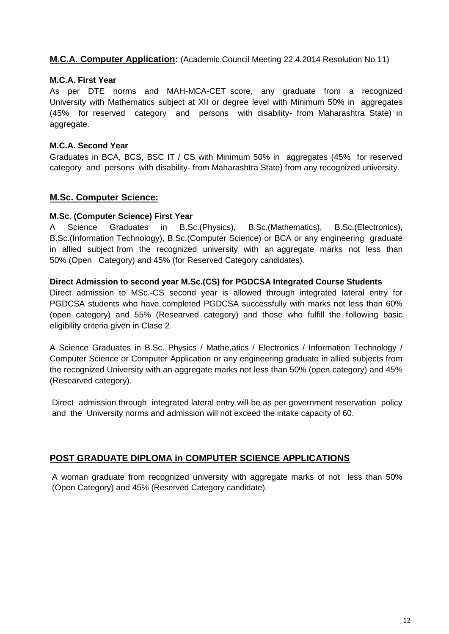#### **M.C.A. Computer Application:** (Academic Council Meeting 22.4.2014 Resolution No 11)

#### **M.C.A. First Year**

As per DTE norms and MAH-MCA-CET score, any graduate from a recognized University with Mathematics subject at XII or degree level with Minimum 50% in aggregates (45% for reserved category and persons with disability- from Maharashtra State) in aggregate.

#### **M.C.A. Second Year**

Graduates in BCA, BCS, BSC IT / CS with Minimum 50% in aggregates (45% for reserved category and persons with disability- from Maharashtra State) from any recognized university.

#### **M.Sc. Computer Science:**

#### **M.Sc. (Computer Science) First Year**

A Science Graduates in B.Sc.(Physics), B.Sc.(Mathematics), B.Sc.(Electronics), B.Sc.(Information Technology), B.Sc.(Computer Science) or BCA or any engineering graduate in allied subject from the recognized university with an aggregate marks not less than 50% (Open Category) and 45% (for Reserved Category candidates).

#### **Direct Admission to second year M.Sc.(CS) for PGDCSA Integrated Course Students**

Direct admission to MSc.-CS second year is allowed through integrated lateral entry for PGDCSA students who have completed PGDCSA successfully with marks not less than 60% (open category) and 55% (Researved category) and those who fulfill the following basic eligibility criteria given in Clase 2.

A Science Graduates in B.Sc. Physics / Mathe,atics / Electronics / Information Technology / Computer Science or Computer Application or any engineering graduate in allied subjects from the recognized University with an aggregate marks not less than 50% (open category) and 45% (Researved category).

Direct admission through integrated lateral entry will be as per government reservation policy and the University norms and admission will not exceed the intake capacity of 60.

#### **POST GRADUATE DIPLOMA in COMPUTER SCIENCE APPLICATIONS**

A woman graduate from recognized university with aggregate marks of not less than 50% (Open Category) and 45% (Reserved Category candidate).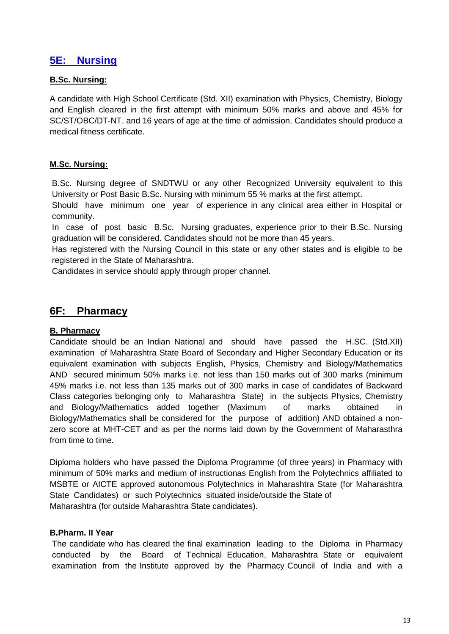## **5E: Nursing**

#### **B.Sc. Nursing:**

A candidate with High School Certificate (Std. XII) examination with Physics, Chemistry, Biology and English cleared in the first attempt with minimum 50% marks and above and 45% for SC/ST/OBC/DT-NT. and 16 years of age at the time of admission. Candidates should produce a medical fitness certificate.

#### **M.Sc. Nursing:**

B.Sc. Nursing degree of SNDTWU or any other Recognized University equivalent to this University or Post Basic B.Sc. Nursing with minimum 55 % marks at the first attempt.

Should have minimum one year of experience in any clinical area either in Hospital or community.

In case of post basic B.Sc. Nursing graduates, experience prior to their B.Sc. Nursing graduation will be considered. Candidates should not be more than 45 years.

Has registered with the Nursing Council in this state or any other states and is eligible to be registered in the State of Maharashtra.

Candidates in service should apply through proper channel.

## **6F: Pharmacy**

#### **B. Pharmacy**

Candidate should be an Indian National and should have passed the H.SC. (Std.XII) examination of Maharashtra State Board of Secondary and Higher Secondary Education or its equivalent examination with subjects English, Physics, Chemistry and Biology/Mathematics AND secured minimum 50% marks i.e. not less than 150 marks out of 300 marks (minimum 45% marks i.e. not less than 135 marks out of 300 marks in case of candidates of Backward Class categories belonging only to Maharashtra State) in the subjects Physics, Chemistry and Biology/Mathematics added together (Maximum of marks obtained in Biology/Mathematics shall be considered for the purpose of addition) AND obtained a nonzero score at MHT-CET and as per the norms laid down by the Government of Maharasthra from time to time.

Diploma holders who have passed the Diploma Programme (of three years) in Pharmacy with minimum of 50% marks and medium of instructionas English from the Polytechnics affiliated to MSBTE or AICTE approved autonomous Polytechnics in Maharashtra State (for Maharashtra State Candidates) or such Polytechnics situated inside/outside the State of Maharashtra (for outside Maharashtra State candidates).

#### **B.Pharm. II Year**

The candidate who has cleared the final examination leading to the Diploma in Pharmacy conducted by the Board of Technical Education, Maharashtra State or equivalent examination from the Institute approved by the Pharmacy Council of India and with a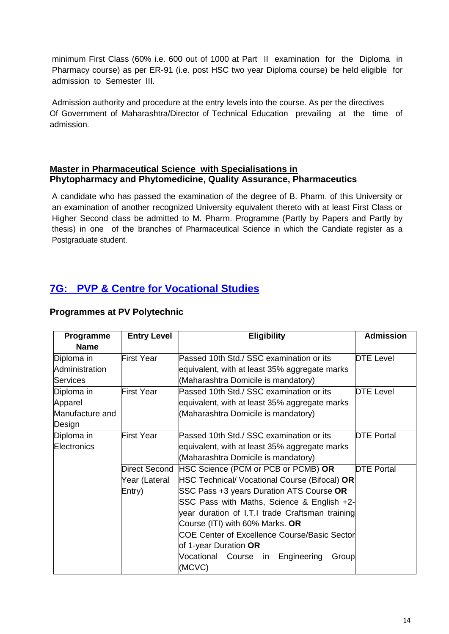minimum First Class (60% i.e. 600 out of 1000 at Part II examination for the Diploma in Pharmacy course) as per ER-91 (i.e. post HSC two year Diploma course) be held eligible for admission to Semester III.

Admission authority and procedure at the entry levels into the course. As per the directives Of Government of Maharashtra/Director of Technical Education prevailing at the time of admission.

#### **Master in Pharmaceutical Science with Specialisations in Phytopharmacy and Phytomedicine, Quality Assurance, Pharmaceutics**

A candidate who has passed the examination of the degree of B. Pharm. of this University or an examination of another recognized University equivalent thereto with at least First Class or Higher Second class be admitted to M. Pharm. Programme (Partly by Papers and Partly by thesis) in one of the branches of Pharmaceutical Science in which the Candiate register as a Postgraduate student.

# **7G: PVP & Centre for Vocational Studies**

| Programme       | <b>Entry Level</b> | <b>Eligibility</b>                                        | <b>Admission</b>  |
|-----------------|--------------------|-----------------------------------------------------------|-------------------|
| <b>Name</b>     |                    |                                                           |                   |
| Diploma in      | <b>First Year</b>  | Passed 10th Std./ SSC examination or its                  | <b>DTE Level</b>  |
| Administration  |                    | equivalent, with at least 35% aggregate marks             |                   |
| <b>Services</b> |                    | (Maharashtra Domicile is mandatory)                       |                   |
| Diploma in      | First Year         | Passed 10th Std./ SSC examination or its                  | <b>DTE Level</b>  |
| Apparel         |                    | equivalent, with at least 35% aggregate marks             |                   |
| Manufacture and |                    | (Maharashtra Domicile is mandatory)                       |                   |
| Design          |                    |                                                           |                   |
| Diploma in      | <b>First Year</b>  | Passed 10th Std./ SSC examination or its                  | <b>DTE Portal</b> |
| Electronics     |                    | equivalent, with at least 35% aggregate marks             |                   |
|                 |                    | (Maharashtra Domicile is mandatory)                       |                   |
|                 | Direct Second      | HSC Science (PCM or PCB or PCMB) OR                       | <b>DTE Portal</b> |
|                 | Year (Lateral      | HSC Technical/ Vocational Course (Bifocal) OR             |                   |
|                 | Entry)             | SSC Pass +3 years Duration ATS Course OR                  |                   |
|                 |                    | SSC Pass with Maths, Science & English +2-                |                   |
|                 |                    | year duration of I.T.I trade Craftsman training           |                   |
|                 |                    | Course (ITI) with 60% Marks. OR                           |                   |
|                 |                    | COE Center of Excellence Course/Basic Sector              |                   |
|                 |                    | of 1-year Duration OR                                     |                   |
|                 |                    | Vocational<br>Engineering<br>Course<br>Group<br><i>in</i> |                   |
|                 |                    | (MCVC)                                                    |                   |

#### **Programmes at PV Polytechnic**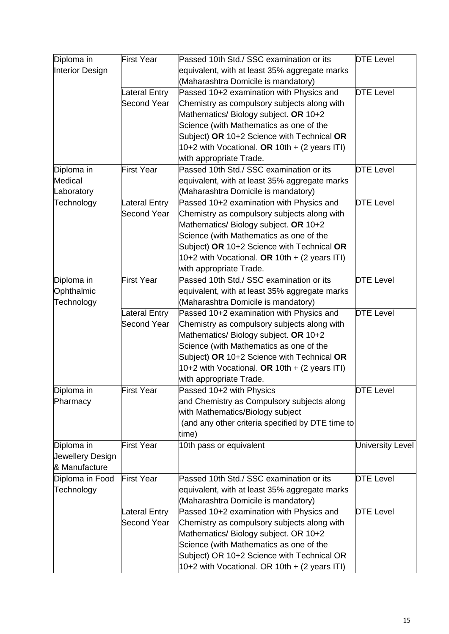| Diploma in       | <b>First Year</b>    | Passed 10th Std./ SSC examination or its         | <b>DTE Level</b> |
|------------------|----------------------|--------------------------------------------------|------------------|
| Interior Design  |                      | equivalent, with at least 35% aggregate marks    |                  |
|                  |                      | (Maharashtra Domicile is mandatory)              |                  |
|                  | <b>Lateral Entry</b> | Passed 10+2 examination with Physics and         | <b>DTE Level</b> |
|                  | <b>Second Year</b>   | Chemistry as compulsory subjects along with      |                  |
|                  |                      | Mathematics/ Biology subject. OR 10+2            |                  |
|                  |                      | Science (with Mathematics as one of the          |                  |
|                  |                      | Subject) OR 10+2 Science with Technical OR       |                  |
|                  |                      | 10+2 with Vocational. OR 10th $+$ (2 years ITI)  |                  |
|                  |                      | with appropriate Trade.                          |                  |
| Diploma in       | First Year           | Passed 10th Std./ SSC examination or its         | <b>DTE Level</b> |
| Medical          |                      | equivalent, with at least 35% aggregate marks    |                  |
| Laboratory       |                      | (Maharashtra Domicile is mandatory)              |                  |
| Technology       | Lateral Entry        | Passed 10+2 examination with Physics and         | <b>DTE Level</b> |
|                  | <b>Second Year</b>   | Chemistry as compulsory subjects along with      |                  |
|                  |                      | Mathematics/Biology subject. OR 10+2             |                  |
|                  |                      | Science (with Mathematics as one of the          |                  |
|                  |                      | Subject) OR 10+2 Science with Technical OR       |                  |
|                  |                      | 10+2 with Vocational. OR 10th + (2 years ITI)    |                  |
|                  |                      |                                                  |                  |
|                  |                      | with appropriate Trade.                          |                  |
| Diploma in       | First Year           | Passed 10th Std./ SSC examination or its         | <b>DTE Level</b> |
| Ophthalmic       |                      | equivalent, with at least 35% aggregate marks    |                  |
| Technology       |                      | (Maharashtra Domicile is mandatory)              |                  |
|                  | Lateral Entry        | Passed 10+2 examination with Physics and         | <b>DTE Level</b> |
|                  | <b>Second Year</b>   | Chemistry as compulsory subjects along with      |                  |
|                  |                      | Mathematics/ Biology subject. OR 10+2            |                  |
|                  |                      | Science (with Mathematics as one of the          |                  |
|                  |                      | Subject) OR 10+2 Science with Technical OR       |                  |
|                  |                      | 10+2 with Vocational. OR 10th $+$ (2 years ITI)  |                  |
|                  |                      | with appropriate Trade.                          |                  |
| Diploma in       | <b>First Year</b>    | Passed 10+2 with Physics                         | <b>DTE Level</b> |
| Pharmacy         |                      | and Chemistry as Compulsory subjects along       |                  |
|                  |                      | with Mathematics/Biology subject                 |                  |
|                  |                      | (and any other criteria specified by DTE time to |                  |
|                  |                      | time)                                            |                  |
| Diploma in       | <b>First Year</b>    | 10th pass or equivalent                          | University Level |
| Jewellery Design |                      |                                                  |                  |
| & Manufacture    |                      |                                                  |                  |
| Diploma in Food  | <b>First Year</b>    | Passed 10th Std./ SSC examination or its         | <b>DTE Level</b> |
| Technology       |                      | equivalent, with at least 35% aggregate marks    |                  |
|                  |                      | (Maharashtra Domicile is mandatory)              |                  |
|                  | Lateral Entry        | Passed 10+2 examination with Physics and         | <b>DTE Level</b> |
|                  | <b>Second Year</b>   | Chemistry as compulsory subjects along with      |                  |
|                  |                      | Mathematics/ Biology subject. OR 10+2            |                  |
|                  |                      | Science (with Mathematics as one of the          |                  |
|                  |                      | Subject) OR 10+2 Science with Technical OR       |                  |
|                  |                      | 10+2 with Vocational. OR 10th + (2 years ITI)    |                  |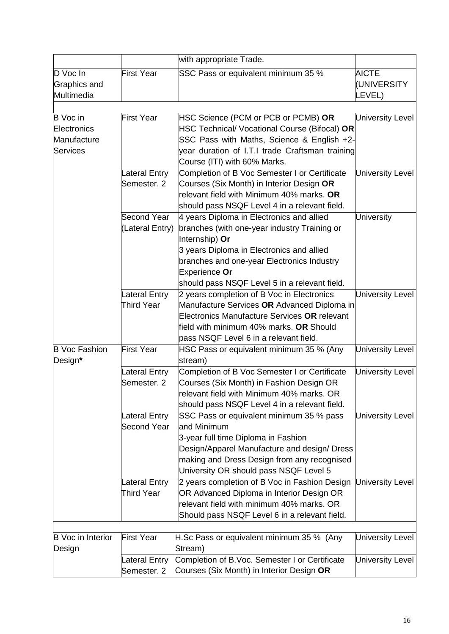|                                                           |                                     | with appropriate Trade.                                                                                                                                                                                                                                                  |                                       |
|-----------------------------------------------------------|-------------------------------------|--------------------------------------------------------------------------------------------------------------------------------------------------------------------------------------------------------------------------------------------------------------------------|---------------------------------------|
| D Voc In<br>Graphics and<br>Multimedia                    | <b>First Year</b>                   | SSC Pass or equivalent minimum 35 %                                                                                                                                                                                                                                      | <b>AICTE</b><br>(UNIVERSITY<br>LEVEL) |
|                                                           |                                     |                                                                                                                                                                                                                                                                          |                                       |
| <b>B</b> Voc in<br>Electronics<br>Manufacture<br>Services | <b>First Year</b>                   | HSC Science (PCM or PCB or PCMB) OR<br>HSC Technical/ Vocational Course (Bifocal) OR<br>SSC Pass with Maths, Science & English +2-<br>year duration of I.T.I trade Craftsman training                                                                                    | <b>University Level</b>               |
|                                                           |                                     | Course (ITI) with 60% Marks.                                                                                                                                                                                                                                             |                                       |
|                                                           | Lateral Entry<br>Semester. 2        | Completion of B Voc Semester I or Certificate<br>Courses (Six Month) in Interior Design OR<br>relevant field with Minimum 40% marks. OR<br>should pass NSQF Level 4 in a relevant field.                                                                                 | <b>University Level</b>               |
|                                                           | Second Year<br>(Lateral Entry)      | 4 years Diploma in Electronics and allied<br>branches (with one-year industry Training or<br>Internship) Or<br>3 years Diploma in Electronics and allied<br>branches and one-year Electronics Industry<br>Experience Or<br>should pass NSQF Level 5 in a relevant field. | <b>University</b>                     |
|                                                           | Lateral Entry<br><b>Third Year</b>  | 2 years completion of B Voc in Electronics<br>Manufacture Services OR Advanced Diploma in<br>Electronics Manufacture Services OR relevant<br>field with minimum 40% marks. OR Should<br>pass NSQF Level 6 in a relevant field.                                           | <b>University Level</b>               |
| <b>B</b> Voc Fashion<br>Design*                           | First Year                          | HSC Pass or equivalent minimum 35 % (Any<br>stream)                                                                                                                                                                                                                      | <b>University Level</b>               |
|                                                           | Lateral Entry<br>Semester, 2        | Completion of B Voc Semester I or Certificate<br>Courses (Six Month) in Fashion Design OR<br>relevant field with Minimum 40% marks. OR<br>should pass NSQF Level 4 in a relevant field.                                                                                  | University Level                      |
|                                                           | Lateral Entry<br><b>Second Year</b> | SSC Pass or equivalent minimum 35 % pass<br>and Minimum<br>3-year full time Diploma in Fashion<br>Design/Apparel Manufacture and design/ Dress<br>making and Dress Design from any recognised<br>University OR should pass NSQF Level 5                                  | <b>University Level</b>               |
|                                                           | Lateral Entry<br><b>Third Year</b>  | 2 years completion of B Voc in Fashion Design<br>OR Advanced Diploma in Interior Design OR<br>relevant field with minimum 40% marks. OR<br>Should pass NSQF Level 6 in a relevant field.                                                                                 | <b>University Level</b>               |
|                                                           |                                     |                                                                                                                                                                                                                                                                          |                                       |
| <b>B</b> Voc in Interior<br>Design                        | <b>First Year</b>                   | H.Sc Pass or equivalent minimum 35 % (Any<br>Stream)                                                                                                                                                                                                                     | <b>University Level</b>               |
|                                                           | Lateral Entry<br>Semester. 2        | Completion of B.Voc. Semester I or Certificate<br>Courses (Six Month) in Interior Design OR                                                                                                                                                                              | <b>University Level</b>               |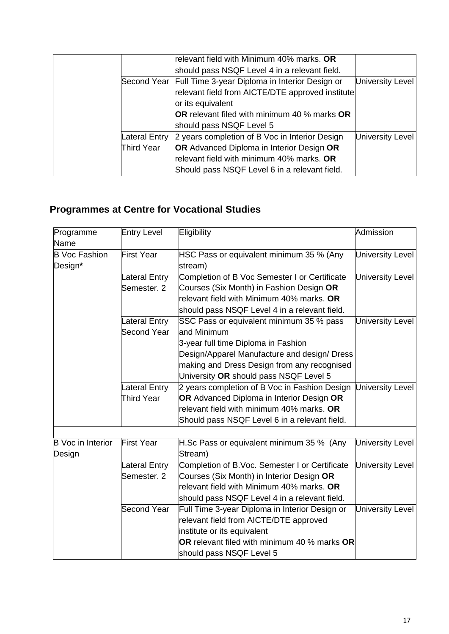|               | University Level                                                                                                                                                                                                                                                                                                                                                                                                                                                                                                         |
|---------------|--------------------------------------------------------------------------------------------------------------------------------------------------------------------------------------------------------------------------------------------------------------------------------------------------------------------------------------------------------------------------------------------------------------------------------------------------------------------------------------------------------------------------|
|               |                                                                                                                                                                                                                                                                                                                                                                                                                                                                                                                          |
|               |                                                                                                                                                                                                                                                                                                                                                                                                                                                                                                                          |
|               |                                                                                                                                                                                                                                                                                                                                                                                                                                                                                                                          |
|               |                                                                                                                                                                                                                                                                                                                                                                                                                                                                                                                          |
| Lateral Entry | University Level                                                                                                                                                                                                                                                                                                                                                                                                                                                                                                         |
| Third Year    |                                                                                                                                                                                                                                                                                                                                                                                                                                                                                                                          |
|               |                                                                                                                                                                                                                                                                                                                                                                                                                                                                                                                          |
|               |                                                                                                                                                                                                                                                                                                                                                                                                                                                                                                                          |
|               | relevant field with Minimum 40% marks. OR<br>should pass NSQF Level 4 in a relevant field.<br>Second Year Full Time 3-year Diploma in Interior Design or<br>relevant field from AICTE/DTE approved institute<br>or its equivalent<br><b>OR</b> relevant filed with minimum 40 % marks <b>OR</b><br>should pass NSQF Level 5<br>2 years completion of B Voc in Interior Design<br>OR Advanced Diploma in Interior Design OR<br>relevant field with minimum 40% marks. OR<br>Should pass NSQF Level 6 in a relevant field. |

# **Programmes at Centre for Vocational Studies**

| Programme<br><b>Name</b>        | <b>Entry Level</b> | Eligibility                                         | Admission               |
|---------------------------------|--------------------|-----------------------------------------------------|-------------------------|
| <b>B Voc Fashion</b><br>Design* | <b>First Year</b>  | HSC Pass or equivalent minimum 35 % (Any<br>stream) | <b>University Level</b> |
|                                 | Lateral Entry      | Completion of B Voc Semester I or Certificate       | <b>University Level</b> |
|                                 | Semester, 2        | Courses (Six Month) in Fashion Design OR            |                         |
|                                 |                    | relevant field with Minimum 40% marks. OR           |                         |
|                                 |                    | should pass NSQF Level 4 in a relevant field.       |                         |
|                                 | Lateral Entry      | SSC Pass or equivalent minimum 35 % pass            | <b>University Level</b> |
|                                 | <b>Second Year</b> | and Minimum                                         |                         |
|                                 |                    | 3-year full time Diploma in Fashion                 |                         |
|                                 |                    | Design/Apparel Manufacture and design/ Dress        |                         |
|                                 |                    | making and Dress Design from any recognised         |                         |
|                                 |                    | University OR should pass NSQF Level 5              |                         |
|                                 | Lateral Entry      | 2 years completion of B Voc in Fashion Design       | <b>University Level</b> |
|                                 | Third Year         | OR Advanced Diploma in Interior Design OR           |                         |
|                                 |                    | relevant field with minimum 40% marks. OR           |                         |
|                                 |                    | Should pass NSQF Level 6 in a relevant field.       |                         |
|                                 |                    |                                                     |                         |
| <b>B</b> Voc in Interior        | <b>First Year</b>  | H.Sc Pass or equivalent minimum 35 % (Any           | University Level        |
| Design                          |                    | Stream)                                             |                         |
|                                 | Lateral Entry      | Completion of B.Voc. Semester I or Certificate      | <b>University Level</b> |
|                                 | Semester, 2        | Courses (Six Month) in Interior Design OR           |                         |
|                                 |                    | relevant field with Minimum 40% marks. OR           |                         |
|                                 |                    | should pass NSQF Level 4 in a relevant field.       |                         |
|                                 | Second Year        | Full Time 3-year Diploma in Interior Design or      | <b>University Level</b> |
|                                 |                    | relevant field from AICTE/DTE approved              |                         |
|                                 |                    | institute or its equivalent                         |                         |
|                                 |                    | OR relevant filed with minimum 40 % marks OR        |                         |
|                                 |                    | should pass NSQF Level 5                            |                         |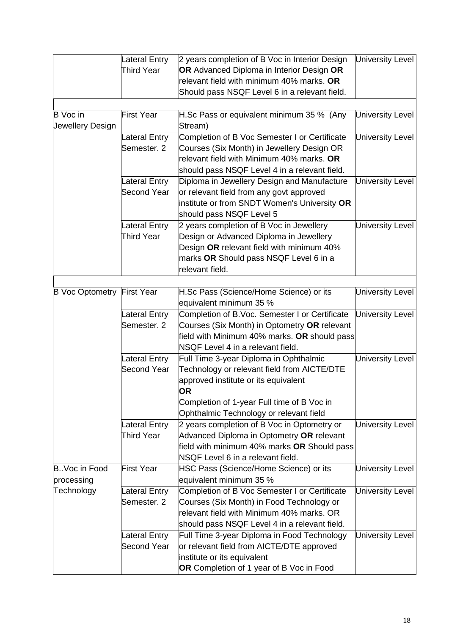|                            | <b>Lateral Entry</b>                      | 2 years completion of B Voc in Interior Design                                           | University Level        |
|----------------------------|-------------------------------------------|------------------------------------------------------------------------------------------|-------------------------|
|                            | <b>Third Year</b>                         | OR Advanced Diploma in Interior Design OR                                                |                         |
|                            |                                           | relevant field with minimum 40% marks. OR                                                |                         |
|                            |                                           | Should pass NSQF Level 6 in a relevant field.                                            |                         |
|                            |                                           |                                                                                          |                         |
| <b>B</b> Voc in            | <b>First Year</b>                         | H.Sc Pass or equivalent minimum 35 % (Any                                                | University Level        |
| Jewellery Design           |                                           | Stream)                                                                                  |                         |
|                            | <b>Lateral Entry</b>                      | Completion of B Voc Semester I or Certificate                                            | <b>University Level</b> |
|                            | Semester. 2                               | Courses (Six Month) in Jewellery Design OR                                               |                         |
|                            |                                           | relevant field with Minimum 40% marks. OR                                                |                         |
|                            |                                           | should pass NSQF Level 4 in a relevant field.                                            |                         |
|                            | <b>Lateral Entry</b>                      | Diploma in Jewellery Design and Manufacture                                              | <b>University Level</b> |
|                            | <b>Second Year</b>                        | or relevant field from any govt approved                                                 |                         |
|                            |                                           | institute or from SNDT Women's University OR                                             |                         |
|                            |                                           | should pass NSQF Level 5                                                                 |                         |
|                            | <b>Lateral Entry</b>                      | 2 years completion of B Voc in Jewellery                                                 | University Level        |
|                            | <b>Third Year</b>                         | Design or Advanced Diploma in Jewellery                                                  |                         |
|                            |                                           | Design OR relevant field with minimum 40%                                                |                         |
|                            |                                           | marks OR Should pass NSQF Level 6 in a                                                   |                         |
|                            |                                           | relevant field.                                                                          |                         |
|                            |                                           |                                                                                          |                         |
| B Voc Optometry First Year |                                           | H.Sc Pass (Science/Home Science) or its                                                  | University Level        |
|                            |                                           | equivalent minimum 35 %                                                                  |                         |
|                            | Lateral Entry                             | Completion of B.Voc. Semester I or Certificate                                           | University Level        |
|                            | Semester. 2                               | Courses (Six Month) in Optometry OR relevant                                             |                         |
|                            |                                           | field with Minimum 40% marks. OR should pass                                             |                         |
|                            |                                           | NSQF Level 4 in a relevant field.                                                        |                         |
|                            | Lateral Entry                             | Full Time 3-year Diploma in Ophthalmic                                                   | <b>University Level</b> |
|                            | <b>Second Year</b>                        | Technology or relevant field from AICTE/DTE                                              |                         |
|                            |                                           | approved institute or its equivalent                                                     |                         |
|                            |                                           | <b>OR</b>                                                                                |                         |
|                            |                                           | Completion of 1-year Full time of B Voc in                                               |                         |
|                            |                                           | Ophthalmic Technology or relevant field                                                  |                         |
|                            | <b>Lateral Entry</b><br><b>Third Year</b> | 2 years completion of B Voc in Optometry or<br>Advanced Diploma in Optometry OR relevant | <b>University Level</b> |
|                            |                                           | field with minimum 40% marks OR Should pass                                              |                         |
|                            |                                           | NSQF Level 6 in a relevant field.                                                        |                         |
| B. Voc in Food             | <b>First Year</b>                         | HSC Pass (Science/Home Science) or its                                                   | <b>University Level</b> |
| processing                 |                                           | equivalent minimum 35 %                                                                  |                         |
| Technology                 | <b>Lateral Entry</b>                      | Completion of B Voc Semester I or Certificate                                            | <b>University Level</b> |
|                            | Semester. 2                               | Courses (Six Month) in Food Technology or                                                |                         |
|                            |                                           | relevant field with Minimum 40% marks. OR                                                |                         |
|                            |                                           | should pass NSQF Level 4 in a relevant field.                                            |                         |
|                            | <b>Lateral Entry</b>                      | Full Time 3-year Diploma in Food Technology                                              | <b>University Level</b> |
|                            | Second Year                               | or relevant field from AICTE/DTE approved                                                |                         |
|                            |                                           | institute or its equivalent                                                              |                         |
|                            |                                           | OR Completion of 1 year of B Voc in Food                                                 |                         |
|                            |                                           |                                                                                          |                         |